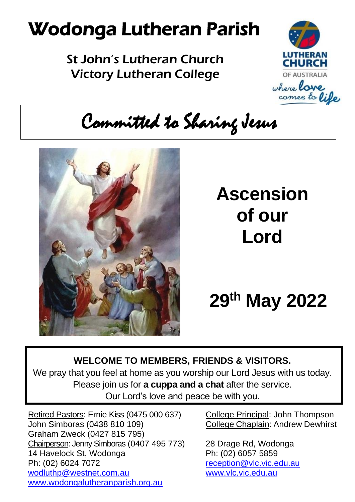# Wodonga Lutheran Parish

St John's Lutheran Church Victory Lutheran College



Committed to Sharing Jesus



# **Ascension of our Lord**

**29 th May 2022**

#### **WELCOME TO MEMBERS, FRIENDS & VISITORS.**

We pray that you feel at home as you worship our Lord Jesus with us today. Please join us for **a cuppa and a chat** after the service. Our Lord's love and peace be with you.

Retired Pastors: Ernie Kiss (0475 000 637) College Principal: John Thompson John Simboras (0438 810 109) College Chaplain: Andrew Dewhirst Graham Zweck (0427 815 795) Chairperson: Jenny Simboras (0407 495 773) 28 Drage Rd, Wodonga 14 Havelock St, Wodonga Ph: (02) 6057 5859 Ph: (02) 6024 7072 [reception@vlc.vic.edu.au](mailto:reception@vlc.vic.edu.au) [wodluthp@westnet.com.au](mailto:wodluthp@%20westnet.com.au) [www.vlc.vic.edu.au](http://www.vlc.vic.edu.au/) [www.wodongalutheranparish.org.au](http://www.wodongalutheranparish.org.au/)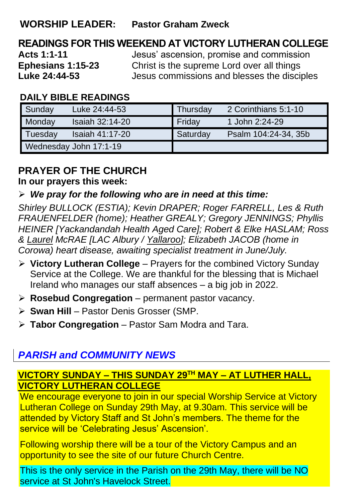#### **WORSHIP LEADER: Pastor Graham Zweck**

### **READINGS FOR THIS WEEKEND AT VICTORY LUTHERAN COLLEGE**

**Acts 1:1-11** Jesus' ascension, promise and commission **Ephesians 1:15-23** Christ is the supreme Lord over all things<br>**Luke 24:44-53** Lesus commissions and blesses the disci-**Luke 24:44-53** Jesus commissions and blesses the disciples

#### **DAILY BIBLE READINGS**

| Sunday                 | Luke 24:44-53   | Thursday | 2 Corinthians 5:1-10 |
|------------------------|-----------------|----------|----------------------|
| Monday                 | Isaiah 32:14-20 | Friday   | 1 John 2:24-29       |
| Tuesday                | Isaiah 41:17-20 | Saturday | Psalm 104:24-34, 35b |
| Wednesday John 17:1-19 |                 |          |                      |

### **PRAYER OF THE CHURCH**

**In our prayers this week:**

#### ➢ *We pray for the following who are in need at this time:*

*Shirley BULLOCK (ESTIA); Kevin DRAPER; Roger FARRELL, Les & Ruth FRAUENFELDER (home); Heather GREALY; Gregory JENNINGS; Phyllis HEINER [Yackandandah Health Aged Care]; Robert & Elke HASLAM; Ross & Laurel McRAE [LAC Albury / Yallaroo]; Elizabeth JACOB (home in Corowa) heart disease, awaiting specialist treatment in June/July.*

- ➢ **Victory Lutheran College** Prayers for the combined Victory Sunday Service at the College. We are thankful for the blessing that is Michael Ireland who manages our staff absences – a big job in 2022.
- ➢ **Rosebud Congregation** permanent pastor vacancy.
- ➢ **Swan Hill** Pastor Denis Grosser (SMP.
- ➢ **Tabor Congregation** Pastor Sam Modra and Tara.

#### *PARISH and COMMUNITY NEWS*

#### **VICTORY SUNDAY – THIS SUNDAY 29TH MAY – AT LUTHER HALL, VICTORY LUTHERAN COLLEGE**

We encourage everyone to join in our special Worship Service at Victory Lutheran College on Sunday 29th May, at 9.30am. This service will be attended by Victory Staff and St John's members. The theme for the service will be 'Celebrating Jesus' Ascension'.

Following worship there will be a tour of the Victory Campus and an opportunity to see the site of our future Church Centre.

This is the only service in the Parish on the 29th May, there will be NO service at St John's Havelock Street.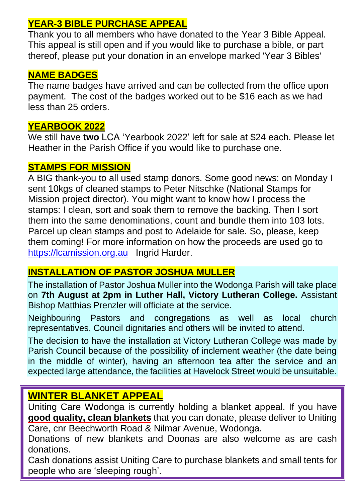#### **YEAR-3 BIBLE PURCHASE APPEAL**

Thank you to all members who have donated to the Year 3 Bible Appeal. This appeal is still open and if you would like to purchase a bible, or part thereof, please put your donation in an envelope marked 'Year 3 Bibles'

#### **NAME BADGES**

The name badges have arrived and can be collected from the office upon payment. The cost of the badges worked out to be \$16 each as we had less than 25 orders.

#### **YEARBOOK 2022**

We still have **two** LCA 'Yearbook 2022' left for sale at \$24 each. Please let Heather in the Parish Office if you would like to purchase one.

#### **STAMPS FOR MISSION**

A BIG thank-you to all used stamp donors. Some good news: on Monday I sent 10kgs of cleaned stamps to Peter Nitschke (National Stamps for Mission project director). You might want to know how I process the stamps: I clean, sort and soak them to remove the backing. Then I sort them into the same denominations, count and bundle them into 103 lots. Parcel up clean stamps and post to Adelaide for sale. So, please, keep them coming! For more information on how the proceeds are used go to [https://lcamission.org.au](https://lcamission.org.au/) Ingrid Harder.

#### **INSTALLATION OF PASTOR JOSHUA MULLER**

The installation of Pastor Joshua Muller into the Wodonga Parish will take place on **7th August at 2pm in Luther Hall, Victory Lutheran College.** Assistant Bishop Matthias Prenzler will officiate at the service.

Neighbouring Pastors and congregations as well as local church representatives, Council dignitaries and others will be invited to attend.

The decision to have the installation at Victory Lutheran College was made by Parish Council because of the possibility of inclement weather (the date being in the middle of winter), having an afternoon tea after the service and an expected large attendance, the facilities at Havelock Street would be unsuitable.

#### **WINTER BLANKET APPEAL**

Uniting Care Wodonga is currently holding a blanket appeal. If you have **good quality, clean blankets** that you can donate, please deliver to Uniting Care, cnr Beechworth Road & Nilmar Avenue, Wodonga.

Donations of new blankets and Doonas are also welcome as are cash donations.

Cash donations assist Uniting Care to purchase blankets and small tents for people who are 'sleeping rough'.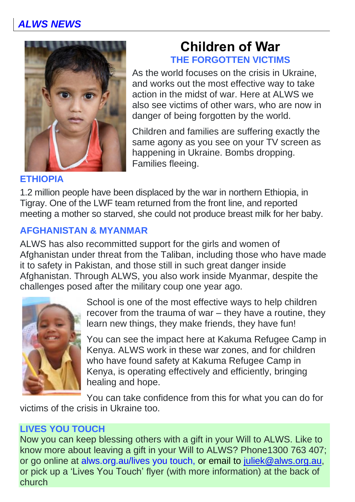

### **Children of War THE FORGOTTEN VICTIMS**

As the world focuses on the crisis in Ukraine, and works out the most effective way to take action in the midst of war. Here at ALWS we also see victims of other wars, who are now in danger of being forgotten by the world.

Children and families are suffering exactly the same agony as you see on your TV screen as happening in Ukraine. Bombs dropping. Families fleeing.

#### **ETHIOPIA**

1.2 million people have been displaced by the war in northern Ethiopia, in Tigray. One of the LWF team returned from the front line, and reported meeting a mother so starved, she could not produce breast milk for her baby.

#### **AFGHANISTAN & MYANMAR**

ALWS has also recommitted support for the girls and women of Afghanistan under threat from the Taliban, including those who have made it to safety in Pakistan, and those still in such great danger inside Afghanistan. Through ALWS, you also work inside Myanmar, despite the challenges posed after the military coup one year ago.



School is one of the most effective ways to help children recover from the trauma of war – they have a routine, they learn new things, they make friends, they have fun!

You can see the impact here at Kakuma Refugee Camp in Kenya. ALWS work in these war zones, and for children who have found safety at Kakuma Refugee Camp in Kenya, is operating effectively and efficiently, bringing healing and hope.

You can take confidence from this for what you can do for

victims of the crisis in Ukraine too.

#### **LIVES YOU TOUCH**

Now you can keep blessing others with a gift in your Will to ALWS. Like to know more about leaving a gift in your Will to ALWS? Phone1300 763 407; or go online at alws.org.au/lives you touch, or email to [juliek@alws.org.au,](mailto:juliek@alws.org.au) or pick up a 'Lives You Touch' flyer (with more information) at the back of church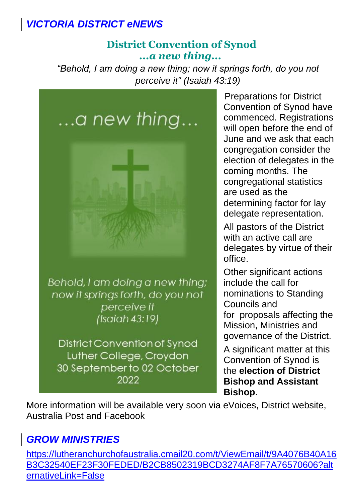#### *VICTORIA DISTRICT eNEWS*

#### **District Convention of Synod** *...a new thing...*

*"Behold, I am doing a new thing; now it springs forth, do you not perceive it" (Isaiah 43:19)*



now it springs forth, do you not perceive it  $(Isoidh 43:19)$ 

District Convention of Synod Luther College, Croydon 30 September to 02 October 2022

Preparations for District Convention of Synod have commenced. Registrations will open before the end of June and we ask that each congregation consider the election of delegates in the coming months. The congregational statistics are used as the determining factor for lay delegate representation.

All pastors of the District with an active call are delegates by virtue of their office.

Other significant actions include the call for nominations to Standing Councils and for proposals affecting the Mission, Ministries and governance of the District.

A significant matter at this Convention of Synod is the **election of District Bishop and Assistant Bishop**.

More information will be available very soon via eVoices, District website, Australia Post and Facebook

#### *GROW MINISTRIES*

[https://lutheranchurchofaustralia.cmail20.com/t/ViewEmail/t/9A4076B40A16](https://lutheranchurchofaustralia.cmail20.com/t/ViewEmail/t/9A4076B40A16B3C32540EF23F30FEDED/B2CB8502319BCD3274AF8F7A76570606?alternativeLink=False) [B3C32540EF23F30FEDED/B2CB8502319BCD3274AF8F7A76570606?alt](https://lutheranchurchofaustralia.cmail20.com/t/ViewEmail/t/9A4076B40A16B3C32540EF23F30FEDED/B2CB8502319BCD3274AF8F7A76570606?alternativeLink=False) [ernativeLink=False](https://lutheranchurchofaustralia.cmail20.com/t/ViewEmail/t/9A4076B40A16B3C32540EF23F30FEDED/B2CB8502319BCD3274AF8F7A76570606?alternativeLink=False)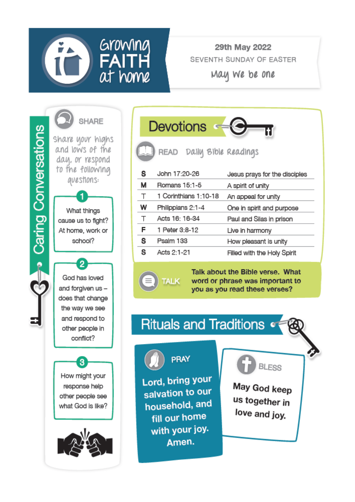

#### 29th May 2022 SEVENTH SUNDAY OF EASTER

May We be one





How might your response help other people see what God is like?

З



|   | <b>Devotions</b>          |                               |
|---|---------------------------|-------------------------------|
|   | READ Daily Bible Readings |                               |
| s | John 17:20-26             | Jesus prays for the disciples |
| м | Romans 15:1-5             | A spirit of unity             |
| Т | 1 Corinthians 1:10-18     | An appeal for unity           |
| W | Philippians 2:1-4         | One in spirit and purpose     |
| Τ | Acts 16: 16-34            | Paul and Silas in prison      |
| F | 1 Peter 3:8-12            | Live in harmony               |
| s | Psalm 133                 | How pleasant is unity         |
| s | Acts 2:1-21               | Filled with the Holy Spirit   |

Talk about the Bible verse. What word or phrase was important to you as you read these verses?

## **Rituals and Traditions of**



PRAY

**TALK** 

Lord, bring your salvation to our household, and fill our home with your joy. Amen.



May God keep us together in love and joy.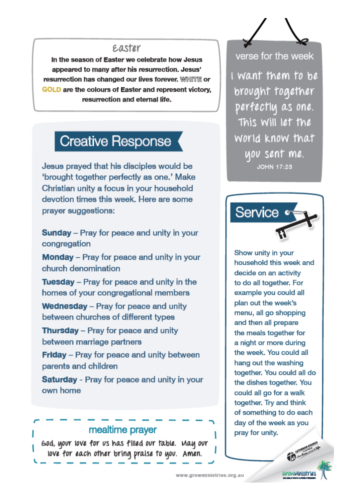#### e.aster

In the season of Easter we celebrate how Jesus appeared to many after his resurrection. Jesus' resurrection has changed our lives forever. WHIFFE or GOLD are the colours of Easter and represent victory. resurrection and eternal life.

### **Creative Response**

Jesus prayed that his disciples would be 'brought together perfectly as one.' Make Christian unity a focus in your household devotion times this week. Here are some praver suggestions:

**Sunday** – Pray for peace and unity in your congregation

Monday - Pray for peace and unity in your church denomination

**Tuesday** – Pray for peace and unity in the homes of your congregational members

Wednesday - Pray for peace and unity between churches of different types

**Thursday** - Pray for peace and unity between marriage partners

Friday - Pray for peace and unity between parents and children

**Saturday** - Pray for peace and unity in your own home

#### mealtime prayer

God, your love for us has filled our table. May our love for each other bring praise to you. Amen.

verse for the week

I want them to be brought together perfectly as one. This Will let the world know that you sent me. **JOHN 17:23** 



Show unity in your household this week and decide on an activity to do all together. For example you could all plan out the week's menu, all go shopping and then all prepare the meals together for a night or more during the week. You could all hang out the washing together. You could all do the dishes together. You could all go for a walk together. Try and think of something to do each day of the week as you pray for unity.

*<u>GravyWnistrie</u>*